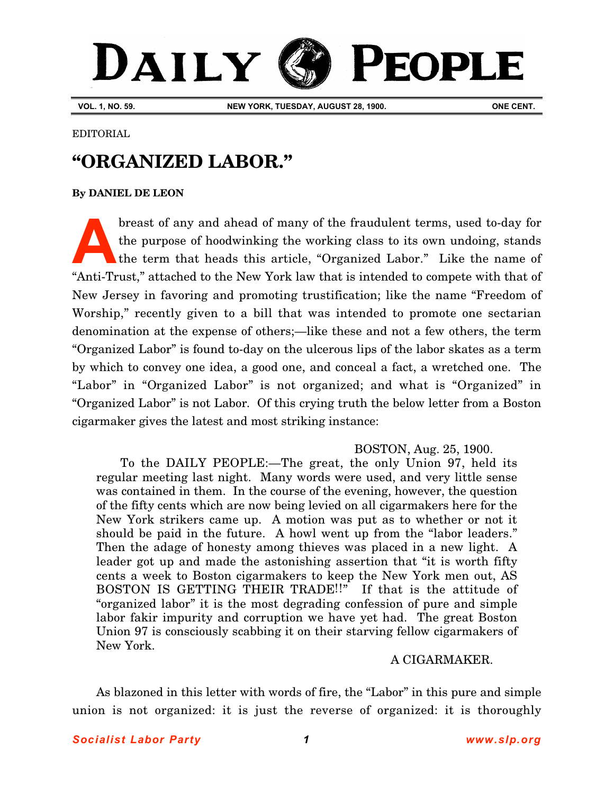# DAILY **PEOPLE**

**VOL. 1, NO. 59. NEW YORK, TUESDAY, AUGUST 28, 1900. ONE CENT.**

EDITORIAL

# **"ORGANIZED LABOR."**

**[By DANIEL DE LEON](http://www.slp.org/De_Leon.htm)**

breast of any and ahead of many of the fraudulent terms, used to-day for the purpose of hoodwinking the working class to its own undoing, stands the term that heads this article, "Organized Labor." Like the name of "Anti-Trust," attached to the New York law that is intended to compete with that of New Jersey in favoring and promoting trustification; like the name "Freedom of Worship," recently given to a bill that was intended to promote one sectarian denomination at the expense of others;—like these and not a few others, the term "Organized Labor" is found to-day on the ulcerous lips of the labor skates as a term by which to convey one idea, a good one, and conceal a fact, a wretched one. The "Labor" in "Organized Labor" is not organized; and what is "Organized" in "Organized Labor" is not Labor. Of this crying truth the below letter from a Boston cigarmaker gives the latest and most striking instance: **A**

## BOSTON, Aug. 25, 1900.

To the DAILY PEOPLE:—The great, the only Union 97, held its regular meeting last night. Many words were used, and very little sense was contained in them. In the course of the evening, however, the question of the fifty cents which are now being levied on all cigarmakers here for the New York strikers came up. A motion was put as to whether or not it should be paid in the future. A howl went up from the "labor leaders." Then the adage of honesty among thieves was placed in a new light. A leader got up and made the astonishing assertion that "it is worth fifty cents a week to Boston cigarmakers to keep the New York men out, AS BOSTON IS GETTING THEIR TRADE!!" If that is the attitude of "organized labor" it is the most degrading confession of pure and simple labor fakir impurity and corruption we have yet had. The great Boston Union 97 is consciously scabbing it on their starving fellow cigarmakers of New York.

### A CIGARMAKER.

As blazoned in this letter with words of fire, the "Labor" in this pure and simple union is not organized: it is just the reverse of organized: it is thoroughly

### *Socialist Labor Party 1 [www.slp.org](http://www.slp.org)*